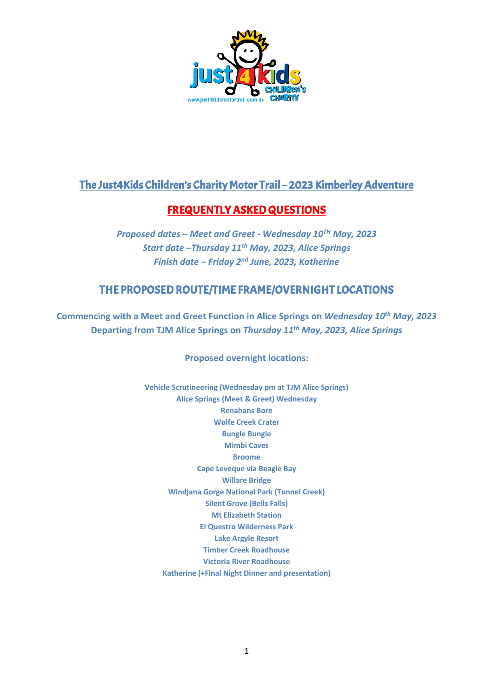

## The Just4Kids Children's Charity Motor Trail – 2023 Kimberley Adventure

# FREQUENTLY ASKED QUESTIONS

*Proposed dates – Meet and Greet - Wednesday 10TH May, 2023 Start date –Thursday 11th May, 2023, Alice Springs Finish date – Friday 2nd June, 2023, Katherine*

## THE PROPOSED ROUTE/TIME FRAME/OVERNIGHT LOCATIONS

**Commencing with a Meet and Greet Function in Alice Springs on** *Wednesday 10th May, 2023* **Departing from TJM Alice Springs on** *Thursday 11th May, 2023, Alice Springs*

## **Proposed overnight locations:**

**Vehicle Scrutineering (Wednesday pm at TJM Alice Springs) Alice Springs (Meet & Greet) Wednesday Renahans Bore Wolfe Creek Crater Bungle Bungle Mimbi Caves Broome Cape Leveque via Beagle Bay Willare Bridge Windjana Gorge National Park (Tunnel Creek) Silent Grove (Bells Falls) Mt Elizabeth Station El Questro Wilderness Park Lake Argyle Resort Timber Creek Roadhouse Victoria River Roadhouse Katherine (+Final Night Dinner and presentation)**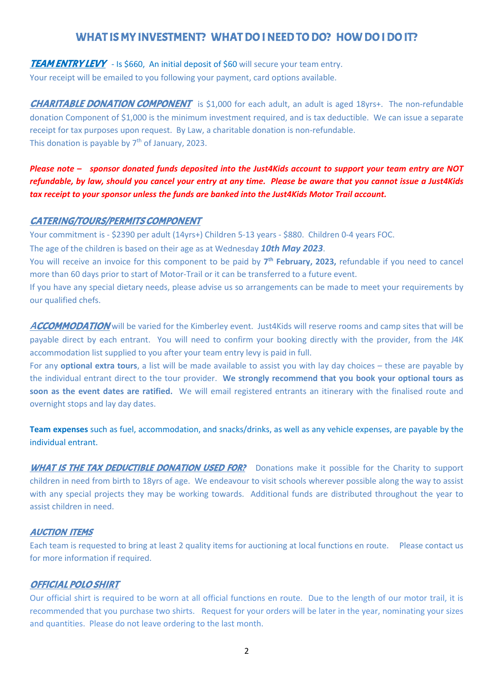## WHAT IS MY INVESTMENT? WHAT DO I NEED TO DO? HOW DO I DO IT?

## **TEAM ENTRY LEVY** - Is \$660, An initial deposit of \$60 will secure your team entry.

Your receipt will be emailed to you following your payment, card options available.

**CHARITABLE DONATION COMPONENT** is \$1,000 for each adult, an adult is aged 18yrs+. The non-refundable donation Component of \$1,000 is the minimum investment required, and is tax deductible. We can issue a separate receipt for tax purposes upon request. By Law, a charitable donation is non-refundable. This donation is payable by  $7<sup>th</sup>$  of January, 2023.

## *Please note – sponsor donated funds deposited into the Just4Kids account to support your team entry are NOT refundable, by law, should you cancel your entry at any time. Please be aware that you cannot issue a Just4Kids tax receipt to your sponsor unless the funds are banked into the Just4Kids Motor Trail account.*

#### CATERING/TOURS/PERMITS COMPONENT

Your commitment is - \$2390 per adult (14yrs+) Children 5-13 years - \$880. Children 0-4 years FOC.

The age of the children is based on their age as at Wednesday *10th May 2023*.

You will receive an invoice for this component to be paid by **7th February, 2023,** refundable if you need to cancel more than 60 days prior to start of Motor-Trail or it can be transferred to a future event.

If you have any special dietary needs, please advise us so arrangements can be made to meet your requirements by our qualified chefs.

ACCOMMODATION will be varied for the Kimberley event. Just4Kids will reserve rooms and camp sites that will be payable direct by each entrant. You will need to confirm your booking directly with the provider, from the J4K accommodation list supplied to you after your team entry levy is paid in full.

For any **optional extra tours**, a list will be made available to assist you with lay day choices – these are payable by the individual entrant direct to the tour provider. **We strongly recommend that you book your optional tours as soon as the event dates are ratified.** We will email registered entrants an itinerary with the finalised route and overnight stops and lay day dates.

**Team expenses** such as fuel, accommodation, and snacks/drinks, as well as any vehicle expenses, are payable by the individual entrant.

WHAT IS THE TAX DEDUCTIBLE DONATION USED FOR? Donations make it possible for the Charity to support children in need from birth to 18yrs of age. We endeavour to visit schools wherever possible along the way to assist with any special projects they may be working towards. Additional funds are distributed throughout the year to assist children in need.

## AUCTION ITEMS

Each team is requested to bring at least 2 quality items for auctioning at local functions en route. Please contact us for more information if required.

## OFFICIAL POLO SHIRT

Our official shirt is required to be worn at all official functions en route. Due to the length of our motor trail, it is recommended that you purchase two shirts. Request for your orders will be later in the year, nominating your sizes and quantities. Please do not leave ordering to the last month.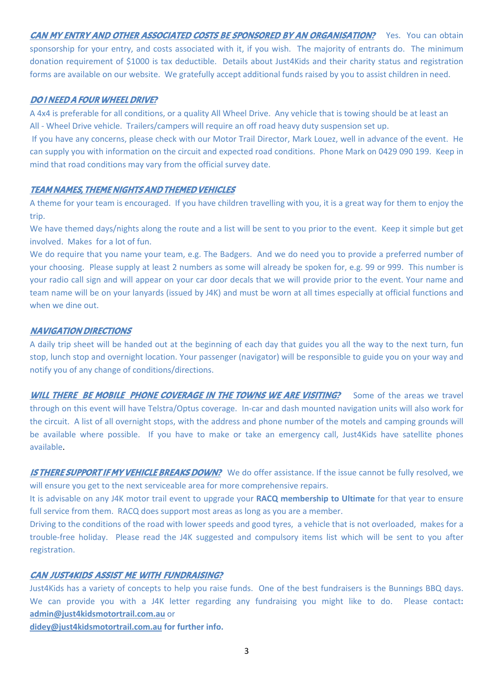CAN MY ENTRY AND OTHER ASSOCIATED COSTS BE SPONSORED BY AN ORGANISATION?Yes. You can obtain sponsorship for your entry, and costs associated with it, if you wish. The majority of entrants do. The minimum donation requirement of \$1000 is tax deductible. Details about Just4Kids and their charity status and registration forms are available on our website. We gratefully accept additional funds raised by you to assist children in need.

## DO I NEED A FOUR WHEEL DRIVE?

A 4x4 is preferable for all conditions, or a quality All Wheel Drive. Any vehicle that is towing should be at least an All - Wheel Drive vehicle. Trailers/campers will require an off road heavy duty suspension set up.

If you have any concerns, please check with our Motor Trail Director, Mark Louez, well in advance of the event. He can supply you with information on the circuit and expected road conditions. Phone Mark on 0429 090 199. Keep in mind that road conditions may vary from the official survey date.

## TEAM NAMES, THEME NIGHTS AND THEMED VEHICLES

A theme for your team is encouraged. If you have children travelling with you, it is a great way for them to enjoy the trip.

We have themed days/nights along the route and a list will be sent to you prior to the event. Keep it simple but get involved. Makes for a lot of fun.

We do require that you name your team, e.g. The Badgers. And we do need you to provide a preferred number of your choosing. Please supply at least 2 numbers as some will already be spoken for, e.g. 99 or 999. This number is your radio call sign and will appear on your car door decals that we will provide prior to the event. Your name and team name will be on your lanyards (issued by J4K) and must be worn at all times especially at official functions and when we dine out.

## NAVIGATION DIRECTIONS

A daily trip sheet will be handed out at the beginning of each day that guides you all the way to the next turn, fun stop, lunch stop and overnight location. Your passenger (navigator) will be responsible to guide you on your way and notify you of any change of conditions/directions.

WILL THERE BE MOBILE PHONE COVERAGE IN THE TOWNS WE ARE VISITING? Some of the areas we travel through on this event will have Telstra/Optus coverage. In-car and dash mounted navigation units will also work for the circuit. A list of all overnight stops, with the address and phone number of the motels and camping grounds will be available where possible. If you have to make or take an emergency call, Just4Kids have satellite phones available.

**IS THERE SUPPORT IF MY VEHICLE BREAKS DOWN?** We do offer assistance. If the issue cannot be fully resolved, we will ensure you get to the next serviceable area for more comprehensive repairs.

It is advisable on any J4K motor trail event to upgrade your **RACQ membership to Ultimate** for that year to ensure full service from them. RACQ does support most areas as long as you are a member.

Driving to the conditions of the road with lower speeds and good tyres, a vehicle that is not overloaded, makes for a trouble-free holiday. Please read the J4K suggested and compulsory items list which will be sent to you after registration.

## CAN JUST4KIDS ASSIST ME WITH FUNDRAISING?

Just4Kids has a variety of concepts to help you raise funds. One of the best fundraisers is the Bunnings BBQ days. We can provide you with a J4K letter regarding any fundraising you might like to do. Please contact**: admin@just4kidsmotortrail.com.au** or

**didey@just4kidsmotortrail.com.au for further info.**